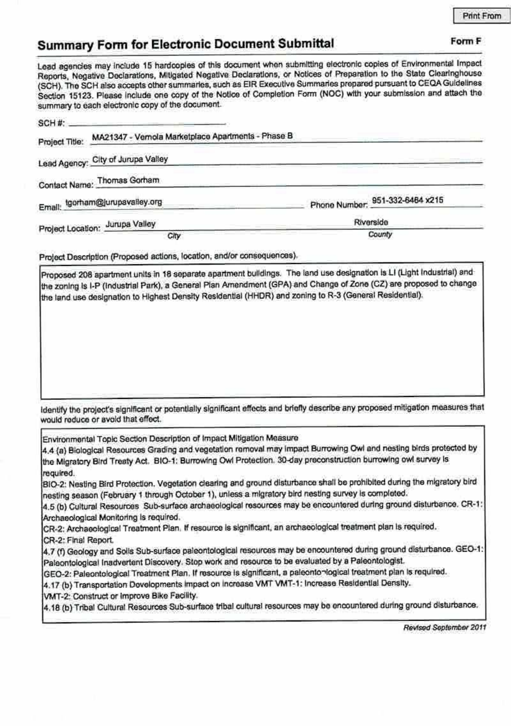## Form F

## **Summary Form for Electronic Document Submittal**

Lead agencies may include 15 hardcopies of this document when submitting electronic copies of Environmental Impact Reports, Negative Declarations, Mitigated Negative Declarations, or Notices of Preparation to the State Clearinghouse (SCH). The SCH also accepts other summaries, such as EIR Executive Summaries prepared pursuant to CEQA Guidelines Section 15123. Please include one copy of the Notice of Completion Form (NOC) with your submission and attach the summary to each electronic copy of the document.

|                | $SCH#$ :<br>MA21347 - Vernola Marketplace Apartments - Phase B |                                 |
|----------------|----------------------------------------------------------------|---------------------------------|
| Project Title: |                                                                |                                 |
|                | Lead Agency: City of Jurupa Valley                             |                                 |
|                | Contact Name: Thomas Gorham                                    |                                 |
|                | Email: tgorham@jurupavalley.org                                | Phone Number: 951-332-6464 x215 |
|                | Project Location: Jurupa Valley                                | Riverside                       |
|                | City                                                           | County                          |

Project Description (Proposed actions, location, and/or consequences).

Proposed 208 apartment units in 18 separate apartment buildings. The land use designation is LI (Light Industrial) and the zoning is I-P (Industrial Park), a General Plan Amendment (GPA) and Change of Zone (CZ) are proposed to change the land use designation to Highest Density Residential (HHDR) and zoning to R-3 (General Residential).

identify the project's significant or potentially significant effects and briefly describe any proposed mitigation measures that would reduce or avoid that effect.

Environmental Topic Section Description of Impact Mitigation Measure

4.4 (a) Biological Resources Grading and vegetation removal may impact Burrowing Owl and nesting birds protected by the Migratory Bird Treaty Act. BIO-1: Burrowing Owl Protection. 30-day preconstruction burrowing owl survey is required.

BIO-2: Nesting Bird Protection. Vegetation clearing and ground disturbance shall be prohibited during the migratory bird nesting season (February 1 through October 1), unless a migratory bird nesting survey is completed.

4.5 (b) Cultural Resources Sub-surface archaeological resources may be encountered during ground disturbance. CR-1: Archaeological Monitoring is required.

CR-2: Archaeological Treatment Plan. If resource is significant, an archaeological treatment plan is required. CR-2: Final Report.

4.7 (f) Geology and Solis Sub-surface paleontological resources may be encountered during ground disturbance. GEO-1: Paleontological Inadvertent Discovery. Stop work and resource to be evaluated by a Paleontologist.

GEO-2: Paleontological Treatment Plan, If resource is significant, a paleontoniogical treatment plan is required.

4.17 (b) Transportation Dovelopments impact on increase VMT VMT-1: Increase Residential Density.

VMT-2: Construct or Improve Bike Facility.

4.18 (b) Tribal Cultural Resources Sub-surface tribal cultural resources may be encountered during ground disturbance.

Revised September 2011